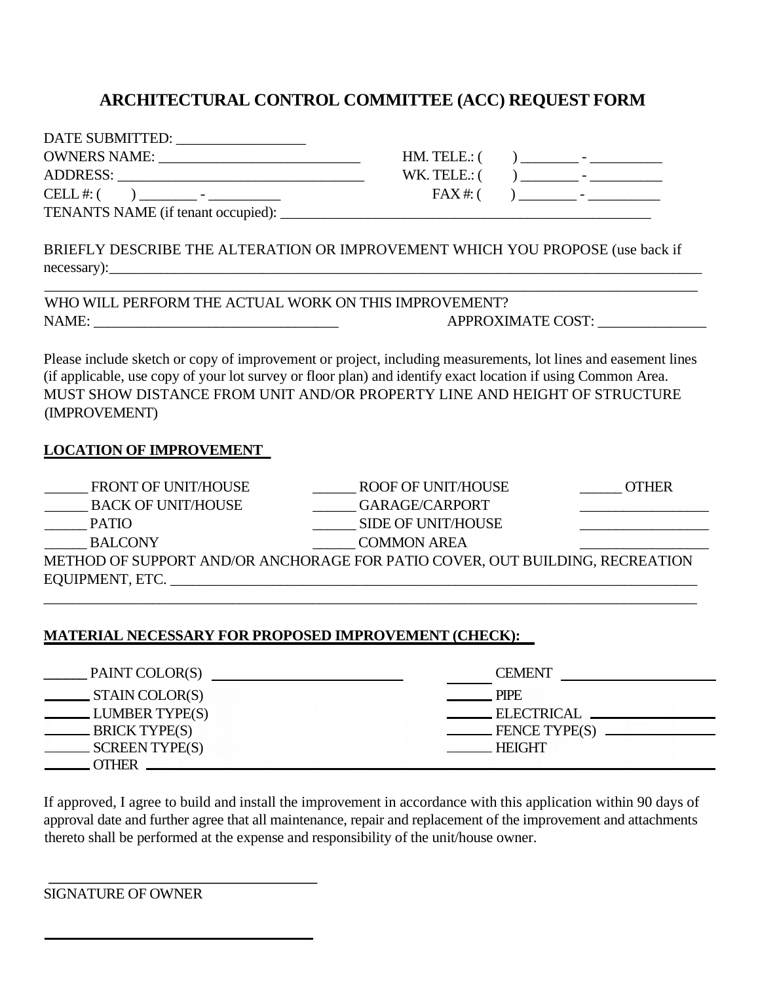## **ARCHITECTURAL CONTROL COMMITTEE (ACC) REQUEST FORM**

| DATE SUBMITTED:<br><u> 1980 - Jan Barbara Barbara, manazarta da </u>                                                           |                  |                                                                                                                                                                                                                                                                                                                                      |
|--------------------------------------------------------------------------------------------------------------------------------|------------------|--------------------------------------------------------------------------------------------------------------------------------------------------------------------------------------------------------------------------------------------------------------------------------------------------------------------------------------|
| <b>OWNERS NAME:</b><br>the control of the control of the control of the control of the control of the control of               | $HM. TELE$ : $($ | and the contract of the contract of                                                                                                                                                                                                                                                                                                  |
| <b>ADDRESS:</b>                                                                                                                | WK. TELE.: $($   | the contract of the contract of the contract of                                                                                                                                                                                                                                                                                      |
| CELL #: $($<br>the contract of the contract of the contract of the contract of the contract of the contract of the contract of | FAX#:            | ) and $\overline{z}$ and $\overline{z}$ and $\overline{z}$ and $\overline{z}$ and $\overline{z}$ and $\overline{z}$ and $\overline{z}$ and $\overline{z}$ and $\overline{z}$ and $\overline{z}$ and $\overline{z}$ and $\overline{z}$ and $\overline{z}$ and $\overline{z}$ and $\overline{z}$ and $\overline{z}$ and $\overline{z}$ |
| TENANTS NAME (if tenant occupied):                                                                                             |                  |                                                                                                                                                                                                                                                                                                                                      |

| . TELE.: ( |  |  |
|------------|--|--|
| . TELE.: ( |  |  |
| FAX#:      |  |  |

BRIEFLY DESCRIBE THE ALTERATION OR IMPROVEMENT WHICH YOU PROPOSE (use back if necessary):\_\_\_\_\_\_\_\_\_\_\_\_\_\_\_\_\_\_\_\_\_\_\_\_\_\_\_\_\_\_\_\_\_\_\_\_\_\_\_\_\_\_\_\_\_\_\_\_\_\_\_\_\_\_\_\_\_\_\_\_\_\_\_\_\_\_\_\_\_\_\_\_\_\_\_\_\_\_\_\_\_

\_\_\_\_\_\_\_\_\_\_\_\_\_\_\_\_\_\_\_\_\_\_\_\_\_\_\_\_\_\_\_\_\_\_\_\_\_\_\_\_\_\_\_\_\_\_\_\_\_\_\_\_\_\_\_\_\_\_\_\_\_\_\_\_\_\_\_\_\_\_\_\_\_\_\_\_\_\_\_\_\_\_\_\_\_\_\_\_\_\_

WHO WILL PERFORM THE ACTUAL WORK ON THIS IMPROVEMENT? NAME: \_\_\_\_\_\_\_\_\_\_\_\_\_\_\_\_\_\_\_\_\_\_\_\_\_\_\_\_\_\_\_\_\_\_ APPROXIMATE COST: \_\_\_\_\_\_\_\_\_\_\_\_\_\_\_

Please include sketch or copy of improvement or project, including measurements, lot lines and easement lines (if applicable, use copy of your lot survey or floor plan) and identify exact location if using Common Area. MUST SHOW DISTANCE FROM UNIT AND/OR PROPERTY LINE AND HEIGHT OF STRUCTURE (IMPROVEMENT)

## **LOCATION OF IMPROVEMENT**

| <b>FRONT OF UNIT/HOUSE</b>                                                   | ROOF OF UNIT/HOUSE        | <b>OTHER</b> |
|------------------------------------------------------------------------------|---------------------------|--------------|
| <b>BACK OF UNIT/HOUSE</b>                                                    | GARAGE/CARPORT            |              |
| <b>PATIO</b>                                                                 | <b>SIDE OF UNIT/HOUSE</b> |              |
| <b>BALCONY</b>                                                               | <b>COMMON AREA</b>        |              |
| METHOD OF SUPPORT AND/OR ANCHORAGE FOR PATIO COVER, OUT BUILDING, RECREATION |                           |              |
| EQUIPMENT, ETC.                                                              |                           |              |
|                                                                              |                           |              |

## **MATERIAL NECESSARY FOR PROPOSED IMPROVEMENT (CHECK):**

| PAINT COLOR(S)                  | <b>CEMENT</b> |
|---------------------------------|---------------|
| $\_$ STAIN COLOR(S)<br>$\alpha$ | <b>PIPE</b>   |
| LUMBER TYPE(S)                  | ELECTRICAL    |
| $\frac{1}{2}$ BRICK TYPE(S)     | FENCE TYPE(S) |
| SCREEN TYPE(S)                  | <b>HEIGHT</b> |
|                                 |               |

If approved, I agree to build and install the improvement in accordance with this application within 90 days of approval date and further agree that all maintenance, repair and replacement of the improvement and attachments thereto shall be performed at the expense and responsibility of the unit/house owner.

SIGNATURE OF OWNER